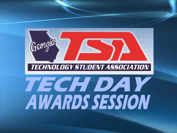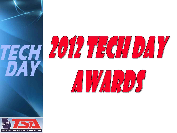



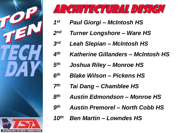



- *Paul Giorgi – McIntosh HS 1 st*
- *Turner Longshore – Ware HS 2 nd*
- *Leah Slepian – McIntosh HS 3 rd*
- *Katherine Gillanders – McIntosh HS 4 th*
- *Joshua Riley – Monroe HS 5 th*
- *Blake Wilson – Pickens HS 6 th*
- *Tai Dang – Chamblee HS 7 th*
- *Austin Edmondson – Monroe HS 8 th*
- *Austin Premorel – North Cobb HS 9 th*
- *Ben Martin – Lowndes HS 10th*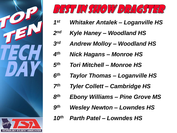



- *Whitaker Antalek – Loganville HS 1 st*
- *Kyle Haney – Woodland HS 2 nd*
- *Andrew Molloy – Woodland HS 3 rd*
- *Nick Hagans – Monroe HS 4 th*
- *Tori Mitchell – Monroe HS 5 th*
- *Taylor Thomas – Loganville HS 6 th*
- *Tyler Collett – Cambridge HS 7 th*
- *Ebony Williams – Pine Grove MS 8 th*
- *Wesley Newton – Lowndes HS 9 th*
- *Parth Patel – Lowndes HS 10th*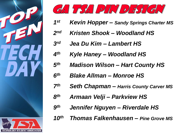



- *Kevin Hopper – Sandy Springs Charter MS 1 st*
- *Kristen Shook – Woodland HS 2 nd*
- *Jea Du Kim – Lambert HS 3 rd*
- *Kyle Haney – Woodland HS 4 th*
- *Madison Wilson – Hart County HS 5 th*
- *Blake Allman – Monroe HS 6 th*
- *Seth Chapman – Harris County Carver MS 7 th*
- *Armaan Velji – Parkview HS 8 th*
- *Jennifer Nguyen – Riverdale HS 9 th*
- *Thomas Falkenhausen – Pine Grove MS 10th*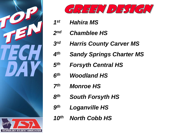



- *Hahira MS 1 st*
- *Chamblee HS 2 nd*
- *Harris County Carver MS 3 rd*
- *Sandy Springs Charter MS 4 th*
- *Forsyth Central HS 5 th*
- *Woodland HS 6 th*
- *Monroe HS 7 th*
- *South Forsyth HS 8 th*
- *Loganville HS 9 th*
- *North Cobb HS 10th*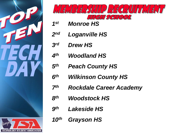



- *Monroe HS 1 st*
- *Loganville HS 2 nd*
- *Drew HS 3 rd*
- *Woodland HS 4 th*
- *Peach County HS 5 th*
- *Wilkinson County HS 6 th*
- *Rockdale Career Academy 7 th*
- *Woodstock HS 8 th*
- *Lakeside HS 9 th*
- *Grayson HS 10th*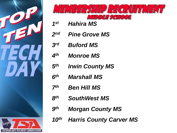



- *Hahira MS 1 st*
- *Pine Grove MS 2 nd*
- *Buford MS 3 rd*
- *Monroe MS 4 th*
- *Irwin County MS 5 th*
- *Marshall MS 6 th*
- *Ben Hill MS 7 th*
- *SouthWest MS 8 th*
- *Morgan County MS 9 th*
- *Harris County Carver MS 10th*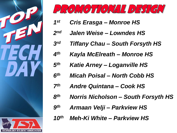



- *Cris Erasga – Monroe HS 1 st*
- *Jalen Weise – Lowndes HS 2 nd*
- *Tiffany Chau – South Forsyth HS 3 rd*
- *Kayla McElreath – Monroe HS 4 th*
- *Katie Arney – Loganville HS 5 th*
- *Micah Poisal – North Cobb HS 6 th*
- *Andre Quintana – Cook HS 7 th*
- *Norris Nicholson – South Forsyth HS 8 th*
- *Armaan Velji – Parkview HS 9 th*
- *Meh-Ki White – Parkview HS 10th*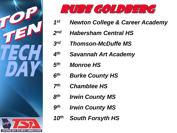



- *Newton College & Career Academy 1 st*
- *Habersham Central HS 2 nd*
- *Thomson-McDuffe MS 3 rd*
- *Savannah Art Academy 4 th*
- *Monroe HS 5 th*
- *Burke County HS 6 th*
- *Chamblee HS 7 th*
- *Irwin County MS 8 th*
- *Irwin County MS 9 th*
- *South Forsyth HS 10th*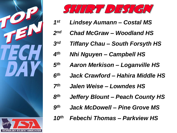



- *Lindsey Aumann – Costal MS 1 st*
- *Chad McGraw – Woodland HS 2 nd*
- *Tiffany Chau – South Forsyth HS 3 rd*
- *Nhi Nguyen – Campbell HS 4 th*
- *Aaron Merkison – Loganville HS 5 th*
- *Jack Crawford – Hahira Middle HS 6 th*
- *Jalen Weise – Lowndes HS 7 th*
- *Jeffery Blount – Peach County HS 8 th*
- *Jack McDowell – Pine Grove MS 9 th*
- *Febechi Thomas – Parkview HS 10th*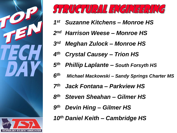



- *Suzanne Kitchens – Monroe HS 1 st*
- 2<sup>nd</sup> Harrison Weese Monroe HS
- *Meghan Zulock – Monroe HS 3 rd*
- *Crystal Causey – Trion HS 4 th*
- *Phillip Laplante – South Forsyth HS 5 th*
- *Michael Mackowski – Sandy Springs Charter MS 6 th*
- *Jack Fontana – Parkview HS 7 th*
- *Steven Sheahan – Gilmer HS 8 th*
- *Devin Hing – Gilmer HS 9 th*
- *Daniel Keith – Cambridge HS 10th*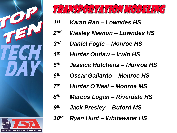



- *Karan Rao – Lowndes HS 1 st*
- *Wesley Newton – Lowndes HS 2 nd*
- *Daniel Fogie – Monroe HS 3 rd*
- *Hunter Outlaw – Irwin HS 4 th*
- *Jessica Hutchens – Monroe HS 5 th*
- *Oscar Gallardo – Monroe HS 6 th*
- *Hunter O'Neal – Monroe MS 7 th*
- *Marcus Logan – Riverdale HS 8 th*
- *Jack Presley – Buford MS 9 th*
- *Ryan Hunt – Whitewater HS 10th*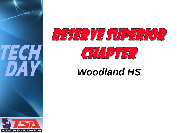



## *Woodland HS*